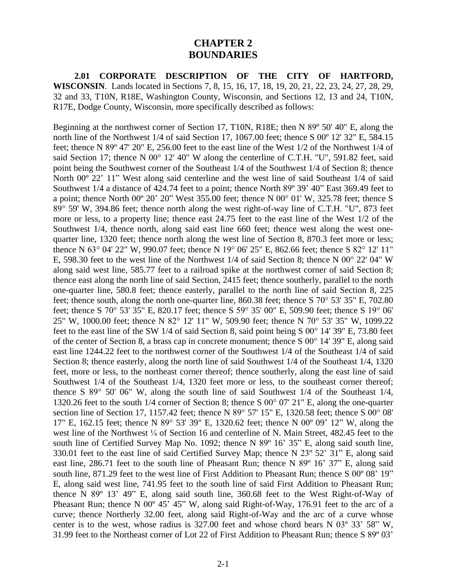# **CHAPTER 2 BOUNDARIES**

**2.01 CORPORATE DESCRIPTION OF THE CITY OF HARTFORD, WISCONSIN**. Lands located in Sections 7, 8, 15, 16, 17, 18, 19, 20, 21, 22, 23, 24, 27, 28, 29, 32 and 33, T10N, R18E, Washington County, Wisconsin, and Sections 12, 13 and 24, T10N, R17E, Dodge County, Wisconsin, more specifically described as follows:

Beginning at the northwest corner of Section 17, T10N, R18E; then N 89º 50' 40" E, along the north line of the Northwest 1/4 of said Section 17, 1067.00 feet; thence S 00° 12′ 32″ E, 584.15 feet; thence N 89º 47' 20" E, 256.00 feet to the east line of the West 1/2 of the Northwest 1/4 of said Section 17; thence N 00° 12' 40" W along the centerline of C.T.H. "U", 591.82 feet, said point being the Southwest corner of the Southeast 1/4 of the Southwest 1/4 of Section 8; thence North 00º 22' 11" West along said centerline and the west line of said Southeast 1/4 of said Southwest 1/4 a distance of 424.74 feet to a point; thence North 89º 39' 40" East 369.49 feet to a point; thence North 00º 20' 20" West 355.00 feet; thence N 00° 01' W, 325.78 feet; thence S 89° 59' W, 394.86 feet; thence north along the west right-of-way line of C.T.H. "U", 873 feet more or less, to a property line; thence east 24.75 feet to the east line of the West 1/2 of the Southwest 1/4, thence north, along said east line 660 feet; thence west along the west onequarter line, 1320 feet; thence north along the west line of Section 8, 870.3 feet more or less; thence N 63° 04' 22" W, 990.07 feet; thence N 19° 06' 25" E, 862.66 feet; thence S 82° 12' 11" E, 598.30 feet to the west line of the Northwest 1/4 of said Section 8; thence N 00° 22' 04" W along said west line, 585.77 feet to a railroad spike at the northwest corner of said Section 8; thence east along the north line of said Section, 2415 feet; thence southerly, parallel to the north one-quarter line, 580.8 feet; thence easterly, parallel to the north line of said Section 8, 225 feet; thence south, along the north one-quarter line, 860.38 feet; thence S 70° 53' 35" E, 702.80 feet; thence S 70° 53' 35" E, 820.17 feet; thence S 59° 35' 00" E, 509.90 feet; thence S 19° 06' 25" W, 1000.00 feet; thence N 82° 12' 11" W, 509.90 feet; thence N 70° 53' 35" W, 1099.22 feet to the east line of the SW 1/4 of said Section 8, said point being S 00° 14' 39" E, 73.80 feet of the center of Section 8, a brass cap in concrete monument; thence S 00° 14' 39" E, along said east line 1244.22 feet to the northwest corner of the Southwest 1/4 of the Southeast 1/4 of said Section 8; thence easterly, along the north line of said Southwest 1/4 of the Southeast 1/4, 1320 feet, more or less, to the northeast corner thereof; thence southerly, along the east line of said Southwest  $1/4$  of the Southeast  $1/4$ , 1320 feet more or less, to the southeast corner thereof; thence S 89° 50' 06" W, along the south line of said Southwest 1/4 of the Southeast 1/4, 1320.26 feet to the south 1/4 corner of Section 8; thence S 00° 07' 21" E, along the one-quarter section line of Section 17, 1157.42 feet; thence N 89° 57' 15" E, 1320.58 feet; thence S 00° 08' 17" E, 162.15 feet; thence N 89° 53' 39" E, 1320.62 feet; thence N 00º 09' 12" W, along the west line of the Northwest <sup>1</sup>/<sub>4</sub> of Section 16 and centerline of N. Main Street, 482.45 feet to the south line of Certified Survey Map No. 1092; thence N 89<sup>o</sup> 16' 35" E, along said south line, 330.01 feet to the east line of said Certified Survey Map; thence N 23º 52' 31" E, along said east line, 286.71 feet to the south line of Pheasant Run; thence N 89º 16' 37" E, along said south line, 871.29 feet to the west line of First Addition to Pheasant Run; thence S 00° 08' 19" E, along said west line, 741.95 feet to the south line of said First Addition to Pheasant Run; thence N 89º 13' 49" E, along said south line, 360.68 feet to the West Right-of-Way of Pheasant Run; thence N 00<sup>o</sup> 45' 45" W, along said Right-of-Way, 176.91 feet to the arc of a curve; thence Northerly 32.00 feet, along said Right-of-Way and the arc of a curve whose center is to the west, whose radius is 327.00 feet and whose chord bears N 03º 33' 58" W, 31.99 feet to the Northeast corner of Lot 22 of First Addition to Pheasant Run; thence S 89º 03'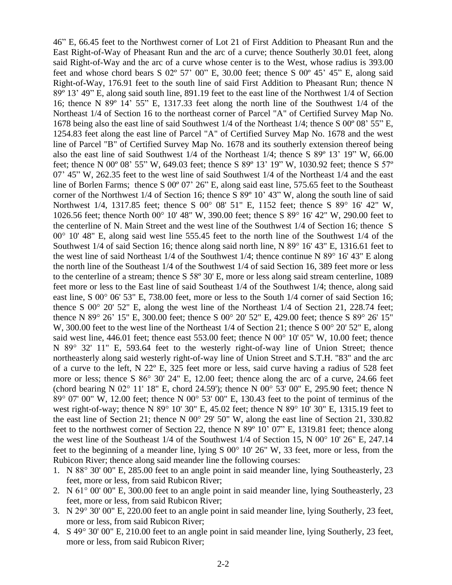46" E, 66.45 feet to the Northwest corner of Lot 21 of First Addition to Pheasant Run and the East Right-of-Way of Pheasant Run and the arc of a curve; thence Southerly 30.01 feet, along said Right-of-Way and the arc of a curve whose center is to the West, whose radius is 393.00 feet and whose chord bears S 02º 57' 00" E, 30.00 feet; thence S 00º 45' 45" E, along said Right-of-Way, 176.91 feet to the south line of said First Addition to Pheasant Run; thence N 89º 13' 49" E, along said south line, 891.19 feet to the east line of the Northwest 1/4 of Section 16; thence N 89º 14' 55" E, 1317.33 feet along the north line of the Southwest 1/4 of the Northeast 1/4 of Section 16 to the northeast corner of Parcel "A" of Certified Survey Map No. 1678 being also the east line of said Southwest 1/4 of the Northeast 1/4; thence S 00º 08' 55" E, 1254.83 feet along the east line of Parcel "A" of Certified Survey Map No. 1678 and the west line of Parcel "B" of Certified Survey Map No. 1678 and its southerly extension thereof being also the east line of said Southwest 1/4 of the Northeast 1/4; thence S 89º 13' 19" W, 66.00 feet; thence N 00º 08' 55" W, 649.03 feet; thence S 89º 13' 19" W, 1030.92 feet; thence S 57º 07' 45" W, 262.35 feet to the west line of said Southwest 1/4 of the Northeast 1/4 and the east line of Borlen Farms; thence S 00º 07' 26" E, along said east line, 575.65 feet to the Southeast corner of the Northwest 1/4 of Section 16; thence S 89º 10' 43" W, along the south line of said Northwest 1/4, 1317.85 feet; thence S 00° 08' 51" E, 1152 feet; thence S 89° 16' 42" W, 1026.56 feet; thence North 00° 10' 48" W, 390.00 feet; thence S 89° 16' 42" W, 290.00 feet to the centerline of N. Main Street and the west line of the Southwest 1/4 of Section 16; thence S  $00^{\circ}$  10' 48" E, along said west line 555.45 feet to the north line of the Southwest 1/4 of the Southwest 1/4 of said Section 16; thence along said north line, N 89° 16' 43" E, 1316.61 feet to the west line of said Northeast 1/4 of the Southwest 1/4; thence continue N 89° 16' 43" E along the north line of the Southeast 1/4 of the Southwest 1/4 of said Section 16, 389 feet more or less to the centerline of a stream; thence S 58º 30' E, more or less along said stream centerline, 1089 feet more or less to the East line of said Southeast 1/4 of the Southwest 1/4; thence, along said east line, S 00° 06' 53" E, 738.00 feet, more or less to the South 1/4 corner of said Section 16; thence S 00° 20' 52" E, along the west line of the Northeast 1/4 of Section 21, 228.74 feet; thence N 89° 26' 15" E, 300.00 feet; thence S 00° 20' 52" E, 429.00 feet; thence S 89° 26' 15" W, 300.00 feet to the west line of the Northeast 1/4 of Section 21; thence S 00° 20' 52" E, along said west line, 446.01 feet; thence east 553.00 feet; thence N 00° 10' 05" W, 10.00 feet; thence N 89° 32' 11" E, 593.64 feet to the westerly right-of-way line of Union Street; thence northeasterly along said westerly right-of-way line of Union Street and S.T.H. "83" and the arc of a curve to the left, N 22º E, 325 feet more or less, said curve having a radius of 528 feet more or less; thence S 86° 30' 24" E, 12.00 feet; thence along the arc of a curve, 24.66 feet (chord bearing N 02° 11' 18" E, chord 24.59'); thence N 00° 53' 00" E, 295.90 feet; thence N  $89^{\circ}$  07' 00" W, 12.00 feet; thence N 00 $^{\circ}$  53' 00" E, 130.43 feet to the point of terminus of the west right-of-way; thence N 89° 10' 30" E, 45.02 feet; thence N 89° 10' 30" E, 1315.19 feet to the east line of Section 21; thence N 00° 29' 50" W, along the east line of Section 21, 330.82 feet to the northwest corner of Section 22, thence N 89<sup>°</sup> 10' 07" E, 1319.81 feet; thence along the west line of the Southeast 1/4 of the Southwest 1/4 of Section 15, N 00° 10' 26" E, 247.14 feet to the beginning of a meander line, lying S 00° 10' 26" W, 33 feet, more or less, from the Rubicon River; thence along said meander line the following courses:

- 1. N 88° 30' 00" E, 285.00 feet to an angle point in said meander line, lying Southeasterly, 23 feet, more or less, from said Rubicon River;
- 2. N 61° 00' 00" E, 300.00 feet to an angle point in said meander line, lying Southeasterly, 23 feet, more or less, from said Rubicon River;
- 3. N 29° 30' 00" E, 220.00 feet to an angle point in said meander line, lying Southerly, 23 feet, more or less, from said Rubicon River;
- 4. S 49° 30' 00" E, 210.00 feet to an angle point in said meander line, lying Southerly, 23 feet, more or less, from said Rubicon River;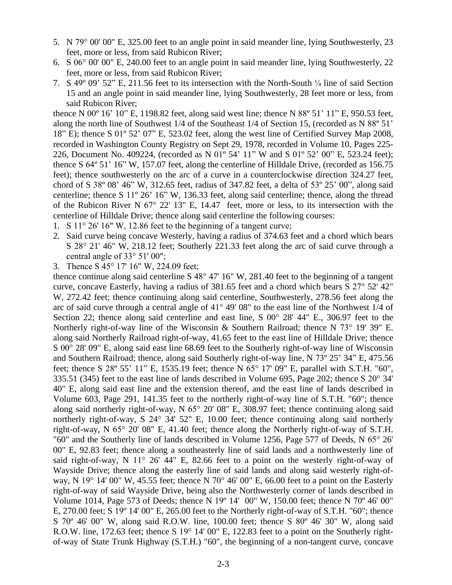- 5. N 79° 00' 00" E, 325.00 feet to an angle point in said meander line, lying Southwesterly, 23 feet, more or less, from said Rubicon River;
- 6. S 06° 00' 00" E, 240.00 feet to an angle point in said meander line, lying Southwesterly, 22 feet, more or less, from said Rubicon River;
- 7. S 49º 09' 52" E, 211.56 feet to its intersection with the North-South ¼ line of said Section 15 and an angle point in said meander line, lying Southwesterly, 28 feet more or less, from said Rubicon River;

thence N 00º 16' 10" E, 1198.82 feet, along said west line; thence N 88º 51' 11" E, 950.53 feet, along the north line of Southwest 1/4 of the Southeast 1/4 of Section 15, (recorded as N 88º 51' 18" E); thence S 01º 52' 07" E, 523.02 feet, along the west line of Certified Survey Map 2008, recorded in Washington County Registry on Sept 29, 1978, recorded in Volume 10, Pages 225- 226, Document No. 409224, (recorded as N 01º 54' 11" W and S 01º 52' 00" E, 523.24 feet); thence S 64º 51' 16" W, 157.07 feet, along the centerline of Hilldale Drive, (recorded as 156.75 feet); thence southwesterly on the arc of a curve in a counterclockwise direction 324.27 feet, chord of S 38º 08' 46" W, 312.65 feet, radius of 347.82 feet, a delta of 53º 25' 00", along said centerline; thence S 11º 26' 16" W, 136.33 feet, along said centerline; thence, along the thread of the Rubicon River N 67° 22' 13" E, 14.47 feet, more or less, to its intersection with the centerline of Hilldale Drive; thence along said centerline the following courses:

- 1. S 11° 26' 16" W, 12.86 feet to the beginning of a tangent curve;
- 2. Said curve being concave Westerly, having a radius of 374.63 feet and a chord which bears S 28° 21' 46" W, 218.12 feet; Southerly 221.33 feet along the arc of said curve through a central angle of 33° 51' 00";
- 3. Thence S 45° 17' 16" W, 224.09 feet;

thence continue along said centerline S 48° 47' 16" W, 281.40 feet to the beginning of a tangent curve, concave Easterly, having a radius of 381.65 feet and a chord which bears S 27° 52' 42" W, 272.42 feet; thence continuing along said centerline, Southwesterly, 278.56 feet along the arc of said curve through a central angle of 41° 49' 08" to the east line of the Northwest 1/4 of Section 22; thence along said centerline and east line, S  $00^{\circ}$  28' 44" E., 306.97 feet to the Northerly right-of-way line of the Wisconsin & Southern Railroad; thence N 73° 19' 39" E. along said Northerly Railroad right-of-way, 41.65 feet to the east line of Hilldale Drive; thence S 00° 28' 09" E, along said east line 68.69 feet to the Southerly right-of-way line of Wisconsin and Southern Railroad; thence, along said Southerly right-of-way line, N 73º 25' 34" E, 475.56 feet; thence S 28º 55' 11" E, 1535.19 feet; thence N 65° 17' 09" E, parallel with S.T.H. "60", 335.51 (345) feet to the east line of lands described in Volume 695, Page 202; thence S 20° 34' 40" E, along said east line and the extension thereof, and the east line of lands described in Volume 603, Page 291, 141.35 feet to the northerly right-of-way line of S.T.H. "60"; thence along said northerly right-of-way, N 65° 20' 08" E, 308.97 feet; thence continuing along said northerly right-of-way, S 24° 34' 52" E, 10.00 feet; thence continuing along said northerly right-of-way, N 65° 20' 08" E, 41.40 feet; thence along the Northerly right-of-way of S.T.H. "60" and the Southerly line of lands described in Volume 1256, Page 577 of Deeds, N 65° 26' 00" E, 92.83 feet; thence along a southeasterly line of said lands and a northwesterly line of said right-of-way, N 11° 26' 44" E, 82.66 feet to a point on the westerly right-of-way of Wayside Drive; thence along the easterly line of said lands and along said westerly right-ofway, N 19 $\degree$  14' 00" W, 45.55 feet; thence N 70 $\degree$  46' 00" E, 66.00 feet to a point on the Easterly right-of-way of said Wayside Drive, being also the Northwesterly corner of lands described in Volume 1014, Page 573 of Deeds; thence N 19º 14' 00" W, 150.00 feet; thence N 70º 46' 00" E, 270.00 feet; S 19º 14' 00" E, 265.00 feet to the Northerly right-of-way of S.T.H. "60"; thence S 70º 46' 00" W, along said R.O.W. line, 100.00 feet; thence S 80º 46' 30" W, along said R.O.W. line, 172.63 feet; thence S 19° 14' 00" E, 122.83 feet to a point on the Southerly rightof-way of State Trunk Highway (S.T.H.) "60", the beginning of a non-tangent curve, concave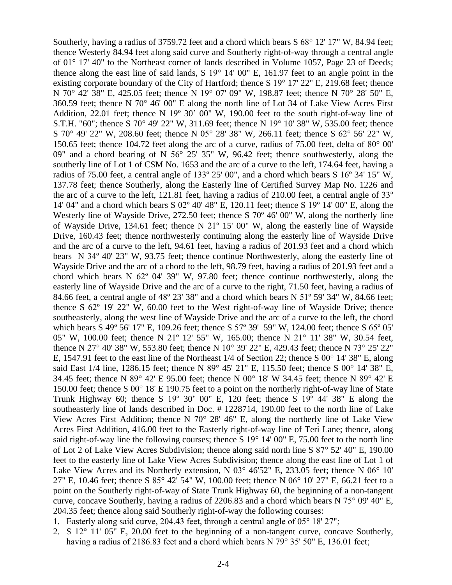Southerly, having a radius of 3759.72 feet and a chord which bears S 68° 12' 17" W, 84.94 feet; thence Westerly 84.94 feet along said curve and Southerly right-of-way through a central angle of 01° 17' 40" to the Northeast corner of lands described in Volume 1057, Page 23 of Deeds; thence along the east line of said lands, S 19° 14' 00" E, 161.97 feet to an angle point in the existing corporate boundary of the City of Hartford; thence S 19° 17' 22" E, 219.68 feet; thence N 70° 42' 38" E, 425.05 feet; thence N 19° 07' 09" W, 198.87 feet; thence N 70° 28' 50" E, 360.59 feet; thence N 70° 46' 00" E along the north line of Lot 34 of Lake View Acres First Addition, 22.01 feet; thence N 19º 30' 00" W, 190.00 feet to the south right-of-way line of S.T.H. "60"; thence S 70° 49' 22" W, 311.69 feet; thence N 19° 10' 38" W, 535.00 feet; thence S 70° 49' 22" W, 208.60 feet; thence N 05° 28' 38" W, 266.11 feet; thence S 62° 56' 22" W, 150.65 feet; thence 104.72 feet along the arc of a curve, radius of 75.00 feet, delta of 80° 00' 09" and a chord bearing of N 56° 25' 35" W, 96.42 feet; thence southwesterly, along the southerly line of Lot 1 of CSM No. 1653 and the arc of a curve to the left, 174.64 feet, having a radius of 75.00 feet, a central angle of 133º 25' 00", and a chord which bears S 16º 34' 15" W, 137.78 feet; thence Southerly, along the Easterly line of Certified Survey Map No. 1226 and the arc of a curve to the left, 121.81 feet, having a radius of 210.00 feet, a central angle of 33º 14' 04" and a chord which bears S 02º 40' 48" E, 120.11 feet; thence S 19º 14' 00" E, along the Westerly line of Wayside Drive, 272.50 feet; thence S 70° 46' 00" W, along the northerly line of Wayside Drive, 134.61 feet; thence N 21º 15' 00" W, along the easterly line of Wayside Drive, 160.43 feet; thence northwesterly continuing along the easterly line of Wayside Drive and the arc of a curve to the left, 94.61 feet, having a radius of 201.93 feet and a chord which bears N 34º 40' 23" W, 93.75 feet; thence continue Northwesterly, along the easterly line of Wayside Drive and the arc of a chord to the left, 98.79 feet, having a radius of 201.93 feet and a chord which bears N 62º 04' 39" W, 97.80 feet; thence continue northwesterly, along the easterly line of Wayside Drive and the arc of a curve to the right, 71.50 feet, having a radius of 84.66 feet, a central angle of 48º 23' 38" and a chord which bears N 51º 59' 34" W, 84.66 feet; thence S 62º 19' 22" W, 60.00 feet to the West right-of-way line of Wayside Drive; thence southeasterly, along the west line of Wayside Drive and the arc of a curve to the left, the chord which bears S 49º 56' 17" E, 109.26 feet; thence S 57º 39' 59" W, 124.00 feet; thence S 65º 05' 05" W, 100.00 feet; thence N 21º 12' 55" W, 165.00; thence N 21° 11' 38" W, 30.54 feet, thence N 27° 40' 38" W, 553.80 feet; thence N 10° 39' 22" E, 429.43 feet; thence N 73° 25' 22" E, 1547.91 feet to the east line of the Northeast 1/4 of Section 22; thence S 00° 14' 38" E, along said East 1/4 line, 1286.15 feet; thence N 89° 45' 21" E, 115.50 feet; thence S 00° 14' 38" E, 34.45 feet; thence N 89° 42' E 95.00 feet; thence N 00° 18' W 34.45 feet; thence N 89° 42' E 150.00 feet; thence S 00° 18' E 190.75 feet to a point on the northerly right-of-way line of State Trunk Highway 60; thence S  $19^{\circ}$  30' 00" E, 120 feet; thence S  $19^{\circ}$  44' 38" E along the southeasterly line of lands described in Doc. # 1228714, 190.00 feet to the north line of Lake View Acres First Addition; thence N  $70^{\circ}$  28' 46" E, along the northerly line of Lake View Acres First Addition, 416.00 feet to the Easterly right-of-way line of Teri Lane; thence, along said right-of-way line the following courses; thence S 19° 14' 00" E, 75.00 feet to the north line of Lot 2 of Lake View Acres Subdivision; thence along said north line S 87° 52' 40" E, 190.00 feet to the easterly line of Lake View Acres Subdivision; thence along the east line of Lot 1 of Lake View Acres and its Northerly extension, N 03° 46'52" E, 233.05 feet; thence N 06° 10' 27" E, 10.46 feet; thence S 85° 42' 54" W, 100.00 feet; thence N 06° 10' 27" E, 66.21 feet to a point on the Southerly right-of-way of State Trunk Highway 60, the beginning of a non-tangent curve, concave Southerly, having a radius of 2206.83 and a chord which bears N 75° 09' 40" E, 204.35 feet; thence along said Southerly right-of-way the following courses:

- 1. Easterly along said curve, 204.43 feet, through a central angle of 05° 18' 27";
- 2. S 12° 11' 05" E, 20.00 feet to the beginning of a non-tangent curve, concave Southerly, having a radius of 2186.83 feet and a chord which bears N 79° 35' 50" E, 136.01 feet;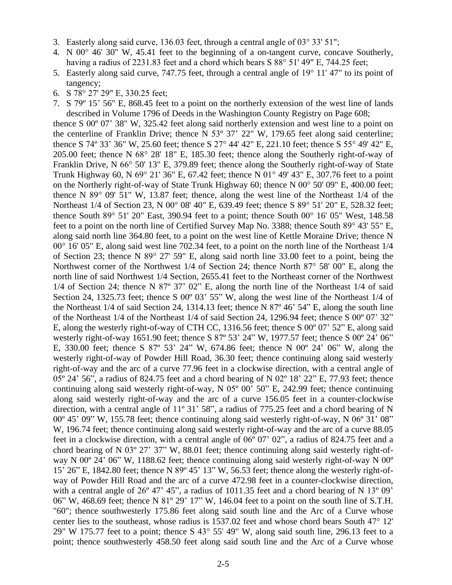- 3. Easterly along said curve, 136.03 feet, through a central angle of 03° 33' 51";
- 4. N 00° 46' 30" W, 45.41 feet to the beginning of a on-tangent curve, concave Southerly, having a radius of 2231.83 feet and a chord which bears S 88° 51' 49" E, 744.25 feet;
- 5. Easterly along said curve, 747.75 feet, through a central angle of 19° 11' 47" to its point of tangency;
- 6. S 78° 27' 29" E, 330.25 feet;
- 7. S 79º 15' 56" E, 868.45 feet to a point on the northerly extension of the west line of lands described in Volume 1796 of Deeds in the Washington County Registry on Page 608;

thence S 00º 07' 38" W, 325.42 feet along said northerly extension and west line to a point on the centerline of Franklin Drive; thence N 53º 37' 22" W, 179.65 feet along said centerline; thence S 74º 33' 36" W, 25.60 feet; thence S 27° 44' 42" E, 221.10 feet; thence S 55° 49' 42" E, 205.00 feet; thence N 68° 28' 18" E, 185.30 feet; thence along the Southerly right-of-way of Franklin Drive, N 66° 50' 13" E, 379.89 feet; thence along the Southerly right-of-way of State Trunk Highway 60, N 69° 21' 36" E, 67.42 feet; thence N 01° 49' 43" E, 307.76 feet to a point on the Northerly right-of-way of State Trunk Highway 60; thence N 00° 50' 09" E, 400.00 feet; thence N 89° 09' 51" W, 13.87 feet; thence, along the west line of the Northeast 1/4 of the Northeast 1/4 of Section 23, N 00° 08' 40" E, 639.49 feet; thence S 89° 51' 20" E, 528.32 feet; thence South 89 $^{\circ}$  51' 20" East, 390.94 feet to a point; thence South 00 $^{\circ}$  16' 05" West, 148.58 feet to a point on the north line of Certified Survey Map No. 3388; thence South 89° 43' 55" E, along said north line 364.80 feet, to a point on the west line of Kettle Moraine Drive; thence N 00° 16' 05" E, along said west line 702.34 feet, to a point on the north line of the Northeast 1/4 of Section 23; thence N 89° 27' 59" E, along said north line 33.00 feet to a point, being the Northwest corner of the Northwest 1/4 of Section 24; thence North 87° 58' 00" E, along the north line of said Northwest 1/4 Section, 2655.41 feet to the Northeast corner of the Northwest 1/4 of Section 24; thence N 87º 37' 02" E, along the north line of the Northeast 1/4 of said Section 24, 1325.73 feet; thence S 00° 03' 55" W, along the west line of the Northeast 1/4 of the Northeast 1/4 of said Section 24, 1314.13 feet; thence N 87º 46' 54" E, along the south line of the Northeast 1/4 of the Northeast 1/4 of said Section 24, 1296.94 feet; thence S 00º 07' 32" E, along the westerly right-of-way of CTH CC, 1316.56 feet; thence S 00º 07' 52" E, along said westerly right-of-way 1651.90 feet; thence S 87º 53' 24" W, 1977.57 feet; thence S 00º 24' 06" E, 330.00 feet; thence S 87º 53' 24" W, 674.86 feet; thence N 00º 24' 06" W, along the westerly right-of-way of Powder Hill Road, 36.30 feet; thence continuing along said westerly right-of-way and the arc of a curve 77.96 feet in a clockwise direction, with a central angle of 05º 24' 56", a radius of 824.75 feet and a chord bearing of N 02º 18' 22" E, 77.93 feet; thence continuing along said westerly right-of-way, N 05º 00' 50" E, 242.99 feet; thence continuing along said westerly right-of-way and the arc of a curve 156.05 feet in a counter-clockwise direction, with a central angle of 11<sup>°</sup> 31' 58", a radius of 775.25 feet and a chord bearing of N 00º 45' 09" W, 155.78 feet; thence continuing along said westerly right-of-way, N 06º 31' 08" W, 196.74 feet; thence continuing along said westerly right-of-way and the arc of a curve 88.05 feet in a clockwise direction, with a central angle of 06º 07' 02", a radius of 824.75 feet and a chord bearing of N 03º 27' 37" W, 88.01 feet; thence continuing along said westerly right-ofway N 00º 24' 06" W, 1188.62 feet; thence continuing along said westerly right-of-way N 00º 15' 26" E, 1842.80 feet; thence N 89º 45' 13" W, 56.53 feet; thence along the westerly right-ofway of Powder Hill Road and the arc of a curve 472.98 feet in a counter-clockwise direction, with a central angle of  $26^{\circ}$  47' 45", a radius of 1011.35 feet and a chord bearing of N 13 $^{\circ}$  09' 06" W, 468.69 feet; thence N 81º 29' 17" W, 146.04 feet to a point on the south line of S.T.H. "60"; thence southwesterly 175.86 feet along said south line and the Arc of a Curve whose center lies to the southeast, whose radius is 1537.02 feet and whose chord bears South 47° 12' 29" W 175.77 feet to a point; thence S 43° 55' 49" W, along said south line, 296.13 feet to a point; thence southwesterly 458.50 feet along said south line and the Arc of a Curve whose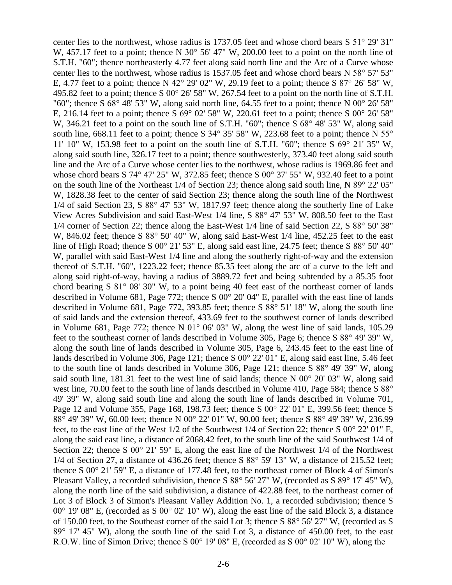center lies to the northwest, whose radius is 1737.05 feet and whose chord bears S 51° 29' 31" W, 457.17 feet to a point; thence N 30° 56' 47" W, 200.00 feet to a point on the north line of S.T.H. "60"; thence northeasterly 4.77 feet along said north line and the Arc of a Curve whose center lies to the northwest, whose radius is 1537.05 feet and whose chord bears N 58° 57' 53" E, 4.77 feet to a point; thence N 42° 29' 02" W, 29.19 feet to a point; thence S 87° 26' 58" W, 495.82 feet to a point; thence S 00° 26' 58" W, 267.54 feet to a point on the north line of S.T.H. "60"; thence S 68° 48' 53" W, along said north line, 64.55 feet to a point; thence N 00° 26' 58" E, 216.14 feet to a point; thence S 69° 02' 58" W, 220.61 feet to a point; thence S 00° 26' 58" W, 346.21 feet to a point on the south line of S.T.H. "60"; thence S 68° 48' 53" W, along said south line, 668.11 feet to a point; thence S 34° 35′ 58″ W, 223.68 feet to a point; thence N 55° 11' 10" W, 153.98 feet to a point on the south line of S.T.H. "60"; thence S 69° 21' 35" W, along said south line, 326.17 feet to a point; thence southwesterly, 373.40 feet along said south line and the Arc of a Curve whose center lies to the northwest, whose radius is 1969.86 feet and whose chord bears S 74° 47' 25" W, 372.85 feet; thence S 00° 37' 55" W, 932.40 feet to a point on the south line of the Northeast 1/4 of Section 23; thence along said south line, N 89° 22' 05" W, 1828.38 feet to the center of said Section 23; thence along the south line of the Northwest 1/4 of said Section 23, S 88° 47' 53" W, 1817.97 feet; thence along the southerly line of Lake View Acres Subdivision and said East-West 1/4 line, S 88° 47' 53" W, 808.50 feet to the East 1/4 corner of Section 22; thence along the East-West 1/4 line of said Section 22, S 88° 50' 38" W, 846.02 feet; thence S 88° 50' 40" W, along said East-West 1/4 line, 452.25 feet to the east line of High Road; thence S 00° 21' 53" E, along said east line, 24.75 feet; thence S 88° 50' 40" W, parallel with said East-West 1/4 line and along the southerly right-of-way and the extension thereof of S.T.H. "60", 1223.22 feet; thence 85.35 feet along the arc of a curve to the left and along said right-of-way, having a radius of 3889.72 feet and being subtended by a 85.35 foot chord bearing S 81° 08' 30" W, to a point being 40 feet east of the northeast corner of lands described in Volume 681, Page 772; thence S 00° 20' 04" E, parallel with the east line of lands described in Volume 681, Page 772, 393.85 feet; thence S 88° 51' 18" W, along the south line of said lands and the extension thereof, 433.69 feet to the southwest corner of lands described in Volume 681, Page 772; thence N 01° 06' 03" W, along the west line of said lands, 105.29 feet to the southeast corner of lands described in Volume 305, Page 6; thence S 88° 49' 39" W, along the south line of lands described in Volume 305, Page 6, 243.45 feet to the east line of lands described in Volume 306, Page 121; thence S 00° 22' 01" E, along said east line, 5.46 feet to the south line of lands described in Volume 306, Page 121; thence S 88° 49' 39" W, along said south line, 181.31 feet to the west line of said lands; thence N 00° 20' 03" W, along said west line, 70.00 feet to the south line of lands described in Volume 410, Page 584; thence S 88° 49' 39" W, along said south line and along the south line of lands described in Volume 701, Page 12 and Volume 355, Page 168, 198.73 feet; thence S 00° 22' 01" E, 399.56 feet; thence S 88° 49' 39" W, 60.00 feet; thence N 00° 22' 01" W, 90.00 feet; thence S 88° 49' 39" W, 236.99 feet, to the east line of the West 1/2 of the Southwest 1/4 of Section 22; thence S 00° 22' 01" E, along the said east line, a distance of 2068.42 feet, to the south line of the said Southwest 1/4 of Section 22; thence S 00° 21' 59" E, along the east line of the Northwest 1/4 of the Northwest 1/4 of Section 27, a distance of 436.26 feet; thence S 88° 59' 13" W, a distance of 215.52 feet; thence S 00° 21' 59" E, a distance of 177.48 feet, to the northeast corner of Block 4 of Simon's Pleasant Valley, a recorded subdivision, thence S 88° 56' 27" W, (recorded as S 89° 17' 45" W), along the north line of the said subdivision, a distance of 422.88 feet, to the northeast corner of Lot 3 of Block 3 of Simon's Pleasant Valley Addition No. 1, a recorded subdivision; thence S 00° 19' 08" E, (recorded as S 00° 02' 10" W), along the east line of the said Block 3, a distance of 150.00 feet, to the Southeast corner of the said Lot 3; thence S 88° 56' 27" W, (recorded as S 89° 17' 45" W), along the south line of the said Lot 3, a distance of 450.00 feet, to the east R.O.W. line of Simon Drive; thence S 00° 19' 08" E, (recorded as S 00° 02' 10" W), along the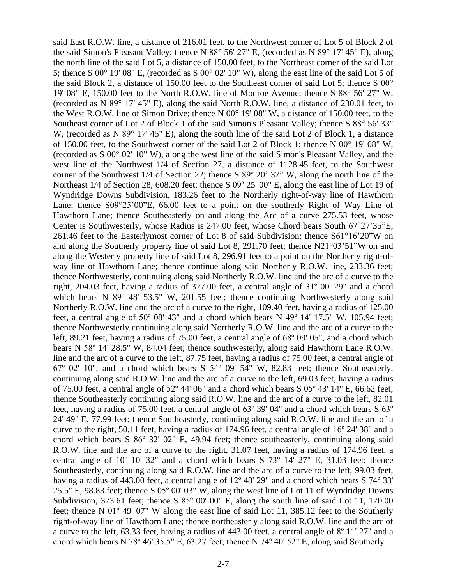said East R.O.W. line, a distance of 216.01 feet, to the Northwest corner of Lot 5 of Block 2 of the said Simon's Pleasant Valley; thence N 88° 56' 27" E, (recorded as N 89° 17' 45" E), along the north line of the said Lot 5, a distance of 150.00 feet, to the Northeast corner of the said Lot 5; thence S 00° 19' 08" E, (recorded as S 00° 02' 10" W), along the east line of the said Lot 5 of the said Block 2, a distance of 150.00 feet to the Southeast corner of said Lot 5; thence S 00° 19' 08" E, 150.00 feet to the North R.O.W. line of Monroe Avenue; thence S 88° 56' 27" W, (recorded as N 89° 17' 45" E), along the said North R.O.W. line, a distance of 230.01 feet, to the West R.O.W. line of Simon Drive; thence N 00° 19' 08" W, a distance of 150.00 feet, to the Southeast corner of Lot 2 of Block 1 of the said Simon's Pleasant Valley; thence S 88° 56' 33" W, (recorded as N 89° 17' 45" E), along the south line of the said Lot 2 of Block 1, a distance of 150.00 feet, to the Southwest corner of the said Lot 2 of Block 1; thence N 00° 19' 08" W, (recorded as S 00° 02' 10" W), along the west line of the said Simon's Pleasant Valley, and the west line of the Northwest 1/4 of Section 27, a distance of 1128.45 feet, to the Southwest corner of the Southwest 1/4 of Section 22; thence S 89º 20' 37" W, along the north line of the Northeast 1/4 of Section 28, 608.20 feet; thence S 09º 25' 00" E, along the east line of Lot 19 of Wyndridge Downs Subdivision, 183.26 feet to the Northerly right-of-way line of Hawthorn Lane; thence S09°25'00"E, 66.00 feet to a point on the southerly Right of Way Line of Hawthorn Lane; thence Southeasterly on and along the Arc of a curve 275.53 feet, whose Center is Southwesterly, whose Radius is 247.00 feet, whose Chord bears South 67°27'35"E, 261.46 feet to the Easterlymost corner of Lot 8 of said Subdivision; thence S61°16'20"W on and along the Southerly property line of said Lot 8, 291.70 feet; thence N21°03'51"W on and along the Westerly property line of said Lot 8, 296.91 feet to a point on the Northerly right-ofway line of Hawthorn Lane; thence continue along said Northerly R.O.W. line, 233.36 feet; thence Northwesterly, continuing along said Northerly R.O.W. line and the arc of a curve to the right, 204.03 feet, having a radius of 377.00 feet, a central angle of 31º 00' 29" and a chord which bears N 89° 48' 53.5" W, 201.55 feet; thence continuing Northwesterly along said Northerly R.O.W. line and the arc of a curve to the right, 109.40 feet, having a radius of 125.00 feet, a central angle of 50º 08' 43" and a chord which bears N 49º 14' 17.5" W, 105.94 feet; thence Northwesterly continuing along said Northerly R.O.W. line and the arc of a curve to the left, 89.21 feet, having a radius of 75.00 feet, a central angle of 68º 09' 05", and a chord which bears N 58º 14' 28.5" W, 84.04 feet; thence southwesterly, along said Hawthorn Lane R.O.W. line and the arc of a curve to the left, 87.75 feet, having a radius of 75.00 feet, a central angle of 67º 02' 10", and a chord which bears S 54º 09' 54" W, 82.83 feet; thence Southeasterly, continuing along said R.O.W. line and the arc of a curve to the left, 69.03 feet, having a radius of 75.00 feet, a central angle of 52º 44' 06" and a chord which bears S 05º 43' 14" E, 66.62 feet; thence Southeasterly continuing along said R.O.W. line and the arc of a curve to the left, 82.01 feet, having a radius of 75.00 feet, a central angle of 63º 39' 04" and a chord which bears S 63º 24' 49" E, 77.99 feet; thence Southeasterly, continuing along said R.O.W. line and the arc of a curve to the right, 50.11 feet, having a radius of 174.96 feet, a central angle of 16º 24' 38" and a chord which bears S 86º 32' 02" E, 49.94 feet; thence southeasterly, continuing along said R.O.W. line and the arc of a curve to the right, 31.07 feet, having a radius of 174.96 feet, a central angle of 10º 10' 32" and a chord which bears S 73º 14' 27" E, 31.03 feet; thence Southeasterly, continuing along said R.O.W. line and the arc of a curve to the left, 99.03 feet, having a radius of 443.00 feet, a central angle of 12<sup>o</sup> 48' 29" and a chord which bears S 74<sup>o</sup> 33' 25.5" E, 98.83 feet; thence S 05º 00' 03" W, along the west line of Lot 11 of Wyndridge Downs Subdivision, 373.61 feet; thence S  $85^{\circ}$  00' 00" E, along the south line of said Lot 11, 170.00 feet; thence N 01º 49' 07" W along the east line of said Lot 11, 385.12 feet to the Southerly right-of-way line of Hawthorn Lane; thence northeasterly along said R.O.W. line and the arc of a curve to the left, 63.33 feet, having a radius of 443.00 feet, a central angle of 8º 11' 27" and a chord which bears N 78º 46' 35.5" E, 63.27 feet; thence N 74º 40' 52" E, along said Southerly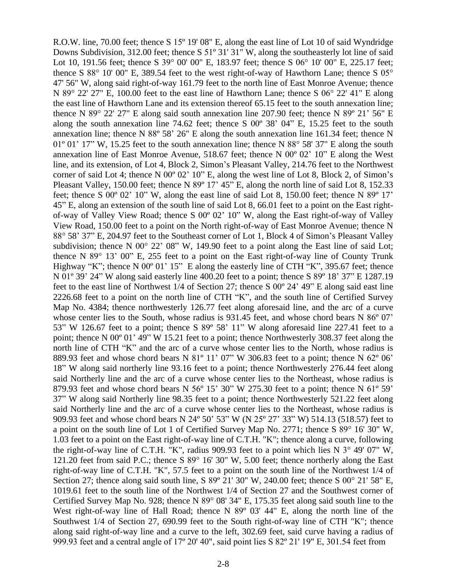R.O.W. line, 70.00 feet; thence S 15º 19' 08" E, along the east line of Lot 10 of said Wyndridge Downs Subdivision, 312.00 feet; thence S 51º 31' 31" W, along the southeasterly lot line of said Lot 10, 191.56 feet; thence S 39° 00' 00" E, 183.97 feet; thence S 06° 10' 00" E, 225.17 feet; thence S 88° 10' 00" E, 389.54 feet to the west right-of-way of Hawthorn Lane; thence S 05° 47' 56" W, along said right-of-way 161.79 feet to the north line of East Monroe Avenue; thence N 89° 22' 27" E, 100.00 feet to the east line of Hawthorn Lane; thence S 06° 22' 41" E along the east line of Hawthorn Lane and its extension thereof 65.15 feet to the south annexation line; thence N 89° 22' 27" E along said south annexation line 207.90 feet; thence N 89º 21' 56" E along the south annexation line 74.62 feet; thence S 00º 38' 04" E, 15.25 feet to the south annexation line; thence N 88º 58' 26" E along the south annexation line 161.34 feet; thence N 01<sup>°</sup> 01<sup>'</sup> 17" W, 15.25 feet to the south annexation line; thence N 88<sup>°</sup> 58' 37" E along the south annexation line of East Monroe Avenue, 518.67 feet; thence N 00º 02' 10" E along the West line, and its extension, of Lot 4, Block 2, Simon's Pleasant Valley, 214.76 feet to the Northwest corner of said Lot 4; thence N 00º 02' 10" E, along the west line of Lot 8, Block 2, of Simon's Pleasant Valley, 150.00 feet; thence N 89° 17' 45" E, along the north line of said Lot 8, 152.33 feet; thence S 00º 02' 10" W, along the east line of said Lot 8, 150.00 feet; thence N 89º 17' 45" E, along an extension of the south line of said Lot 8, 66.01 feet to a point on the East rightof-way of Valley View Road; thence S 00º 02' 10" W, along the East right-of-way of Valley View Road, 150.00 feet to a point on the North right-of-way of East Monroe Avenue; thence N 88° 58' 37" E, 204.97 feet to the Southeast corner of Lot 1, Block 4 of Simon's Pleasant Valley subdivision; thence N 00° 22' 08" W, 149.90 feet to a point along the East line of said Lot; thence N 89° 13' 00" E, 255 feet to a point on the East right-of-way line of County Trunk Highway "K"; thence N 00° 01' 15" E along the easterly line of CTH "K", 395.67 feet; thence N 01º 39' 24" W along said easterly line 400.20 feet to a point; thence S 89º 18' 37" E 1287.19 feet to the east line of Northwest 1/4 of Section 27; thence S 00º 24' 49" E along said east line 2226.68 feet to a point on the north line of CTH "K", and the south line of Certified Survey Map No. 4384; thence northwesterly 126.77 feet along aforesaid line, and the arc of a curve whose center lies to the South, whose radius is 931.45 feet, and whose chord bears N 86° 07' 53" W 126.67 feet to a point; thence S 89º 58' 11" W along aforesaid line 227.41 feet to a point; thence N 00º 01' 49" W 15.21 feet to a point; thence Northwesterly 308.37 feet along the north line of CTH "K" and the arc of a curve whose center lies to the North, whose radius is 889.93 feet and whose chord bears N 81º 11' 07" W 306.83 feet to a point; thence N 62º 06' 18" W along said northerly line 93.16 feet to a point; thence Northwesterly 276.44 feet along said Northerly line and the arc of a curve whose center lies to the Northeast, whose radius is 879.93 feet and whose chord bears N 56º 15' 30" W 275.30 feet to a point; thence N 61º 59' 37" W along said Northerly line 98.35 feet to a point; thence Northwesterly 521.22 feet along said Northerly line and the arc of a curve whose center lies to the Northeast, whose radius is 909.93 feet and whose chord bears N 24º 50' 53" W (N 25º 27' 33" W) 514.13 (518.57) feet to a point on the south line of Lot 1 of Certified Survey Map No. 2771; thence S 89° 16' 30" W, 1.03 feet to a point on the East right-of-way line of C.T.H. "K"; thence along a curve, following the right-of-way line of C.T.H. "K", radius 909.93 feet to a point which lies N 3° 49' 07" W, 121.20 feet from said P.C.; thence S 89° 16' 30" W, 5.00 feet; thence northerly along the East right-of-way line of C.T.H. "K", 57.5 feet to a point on the south line of the Northwest 1/4 of Section 27; thence along said south line, S 89º 21' 30" W, 240.00 feet; thence S 00° 21' 58" E, 1019.61 feet to the south line of the Northwest 1/4 of Section 27 and the Southwest corner of Certified Survey Map No. 928; thence N 89° 08' 34" E, 175.35 feet along said south line to the West right-of-way line of Hall Road; thence N 89° 03' 44" E, along the north line of the Southwest 1/4 of Section 27, 690.99 feet to the South right-of-way line of CTH "K"; thence along said right-of-way line and a curve to the left, 302.69 feet, said curve having a radius of 999.93 feet and a central angle of 17º 20' 40", said point lies S 82º 21' 19" E, 301.54 feet from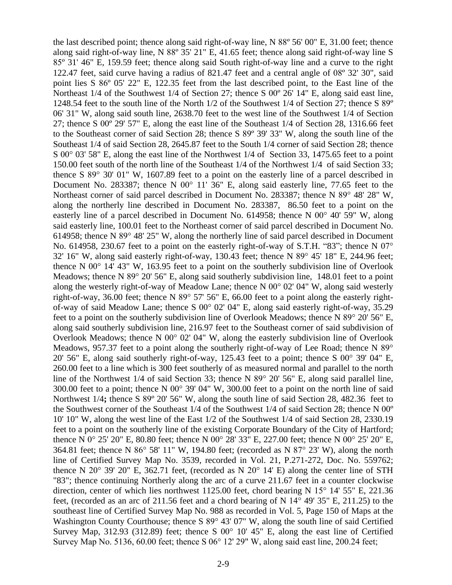the last described point; thence along said right-of-way line, N 88º 56' 00" E, 31.00 feet; thence along said right-of-way line, N 88º 35' 21" E, 41.65 feet; thence along said right-of-way line S 85º 31' 46" E, 159.59 feet; thence along said South right-of-way line and a curve to the right 122.47 feet, said curve having a radius of 821.47 feet and a central angle of 08º 32' 30", said point lies S 86º 05' 22" E, 122.35 feet from the last described point, to the East line of the Northeast 1/4 of the Southwest 1/4 of Section 27; thence S 00º 26' 14" E, along said east line, 1248.54 feet to the south line of the North  $1/2$  of the Southwest  $1/4$  of Section 27; thence S 89<sup>o</sup> 06' 31" W, along said south line, 2638.70 feet to the west line of the Southwest 1/4 of Section 27; thence S 00º 29' 57" E, along the east line of the Southeast 1/4 of Section 28, 1316.66 feet to the Southeast corner of said Section 28; thence S 89º 39' 33" W, along the south line of the Southeast 1/4 of said Section 28, 2645.87 feet to the South 1/4 corner of said Section 28; thence S 00° 03' 58" E, along the east line of the Northwest 1/4 of Section 33, 1475.65 feet to a point 150.00 feet south of the north line of the Southeast 1/4 of the Northwest 1/4 of said Section 33; thence S 89° 30' 01" W, 1607.89 feet to a point on the easterly line of a parcel described in Document No. 283387; thence N 00° 11' 36" E, along said easterly line, 77.65 feet to the Northeast corner of said parcel described in Document No. 283387; thence N 89° 48' 28" W, along the northerly line described in Document No. 283387, 86.50 feet to a point on the easterly line of a parcel described in Document No. 614958; thence N 00° 40' 59" W, along said easterly line, 100.01 feet to the Northeast corner of said parcel described in Document No. 614958; thence N 89° 48' 25" W, along the northerly line of said parcel described in Document No. 614958, 230.67 feet to a point on the easterly right-of-way of S.T.H. "83"; thence N 07° 32' 16" W, along said easterly right-of-way, 130.43 feet; thence N 89° 45' 18" E, 244.96 feet; thence N 00° 14' 43" W, 163.95 feet to a point on the southerly subdivision line of Overlook Meadows; thence N 89° 20' 56" E, along said southerly subdivision line, 148.01 feet to a point along the westerly right-of-way of Meadow Lane; thence N 00° 02' 04" W, along said westerly right-of-way, 36.00 feet; thence N 89° 57' 56" E, 66.00 feet to a point along the easterly rightof-way of said Meadow Lane; thence S 00° 02' 04" E, along said easterly right-of-way, 35.29 feet to a point on the southerly subdivision line of Overlook Meadows; thence N 89° 20' 56" E, along said southerly subdivision line, 216.97 feet to the Southeast corner of said subdivision of Overlook Meadows; thence N 00° 02' 04" W, along the easterly subdivision line of Overlook Meadows, 957.37 feet to a point along the southerly right-of-way of Lee Road; thence N 89<sup>°</sup> 20' 56" E, along said southerly right-of-way,  $125.43$  feet to a point; thence S  $00^{\circ}$  39' 04" E, 260.00 feet to a line which is 300 feet southerly of as measured normal and parallel to the north line of the Northwest 1/4 of said Section 33; thence N 89° 20' 56" E, along said parallel line, 300.00 feet to a point; thence N 00° 39' 04" W, 300.00 feet to a point on the north line of said Northwest 1/4**;** thence S 89º 20' 56" W, along the south line of said Section 28, 482.36 feet to the Southwest corner of the Southeast 1/4 of the Southwest 1/4 of said Section 28; thence N 00º 10' 10" W, along the west line of the East 1/2 of the Southwest 1/4 of said Section 28, 2330.19 feet to a point on the southerly line of the existing Corporate Boundary of the City of Hartford; thence N 0° 25' 20" E, 80.80 feet; thence N 00° 28' 33" E, 227.00 feet; thence N 00° 25' 20" E, 364.81 feet; thence N 86° 58' 11" W, 194.80 feet; (recorded as N 87° 23' W), along the north line of Certified Survey Map No. 3539, recorded in Vol. 21, P.271-272, Doc. No. 559762; thence N 20 $\degree$  39' 20" E, 362.71 feet, (recorded as N 20 $\degree$  14' E) along the center line of STH "83"; thence continuing Northerly along the arc of a curve 211.67 feet in a counter clockwise direction, center of which lies northwest 1125.00 feet, chord bearing N 15<sup>o</sup> 14' 55" E, 221.36 feet, (recorded as an arc of 211.56 feet and a chord bearing of N 14° 49' 35" E, 211.25) to the southeast line of Certified Survey Map No. 988 as recorded in Vol. 5, Page 150 of Maps at the Washington County Courthouse; thence S 89° 43' 07" W, along the south line of said Certified Survey Map, 312.93 (312.89) feet; thence S  $00^{\circ}$  10' 45" E, along the east line of Certified Survey Map No. 5136, 60.00 feet; thence S 06° 12' 29" W, along said east line, 200.24 feet;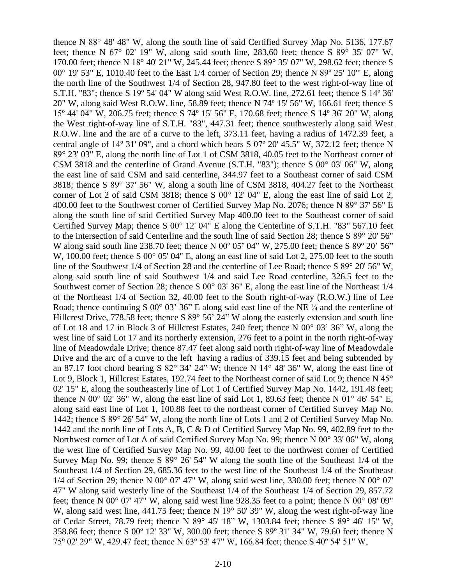thence N 88° 48' 48" W, along the south line of said Certified Survey Map No. 5136, 177.67 feet; thence N  $67^{\circ}$  02' 19" W, along said south line, 283.60 feet; thence S  $89^{\circ}$  35' 07" W, 170.00 feet; thence N 18° 40' 21" W, 245.44 feet; thence S 89° 35' 07" W, 298.62 feet; thence S 00° 19' 53" E, 1010.40 feet to the East 1/4 corner of Section 29; thence N 89º 25' 10'" E, along the north line of the Southwest 1/4 of Section 28, 947.80 feet to the west right-of-way line of S.T.H. "83"; thence S 19º 54' 04" W along said West R.O.W. line, 272.61 feet; thence S 14º 36' 20" W, along said West R.O.W. line, 58.89 feet; thence N 74º 15' 56" W, 166.61 feet; thence S 15º 44' 04" W, 206.75 feet; thence S 74º 15' 56" E, 170.68 feet; thence S 14º 36' 20" W, along the West right-of-way line of S.T.H. "83", 447.31 feet; thence southwesterly along said West R.O.W. line and the arc of a curve to the left, 373.11 feet, having a radius of 1472.39 feet, a central angle of 14º 31' 09", and a chord which bears S 07º 20' 45.5" W, 372.12 feet; thence N 89° 23' 03" E, along the north line of Lot 1 of CSM 3818, 40.05 feet to the Northeast corner of CSM 3818 and the centerline of Grand Avenue (S.T.H. "83"); thence S 00° 03' 06" W, along the east line of said CSM and said centerline, 344.97 feet to a Southeast corner of said CSM 3818; thence S 89° 37' 56" W, along a south line of CSM 3818, 404.27 feet to the Northeast corner of Lot 2 of said CSM 3818; thence S 00° 12' 04" E, along the east line of said Lot 2, 400.00 feet to the Southwest corner of Certified Survey Map No. 2076; thence N 89° 37' 56" E along the south line of said Certified Survey Map 400.00 feet to the Southeast corner of said Certified Survey Map; thence S 00° 12' 04" E along the Centerline of S.T.H. "83" 567.10 feet to the intersection of said Centerline and the south line of said Section 28; thence S 89° 20' 56" W along said south line 238.70 feet; thence N 00° 05' 04" W, 275.00 feet; thence S 89° 20' 56" W, 100.00 feet; thence S 00° 05' 04" E, along an east line of said Lot 2, 275.00 feet to the south line of the Southwest 1/4 of Section 28 and the centerline of Lee Road; thence S 89° 20' 56" W, along said south line of said Southwest 1/4 and said Lee Road centerline, 326.5 feet to the Southwest corner of Section 28; thence S 00° 03' 36" E, along the east line of the Northeast 1/4 of the Northeast 1/4 of Section 32, 40.00 feet to the South right-of-way (R.O.W.) line of Lee Road; thence continuing S  $00^{\circ}$  03' 36" E along said east line of the NE  $\frac{1}{4}$  and the centerline of Hillcrest Drive, 778.58 feet; thence S 89° 56' 24" W along the easterly extension and south line of Lot 18 and 17 in Block 3 of Hillcrest Estates, 240 feet; thence N 00° 03' 36" W, along the west line of said Lot 17 and its northerly extension, 276 feet to a point in the north right-of-way line of Meadowdale Drive; thence 87.47 feet along said north right-of-way line of Meadowdale Drive and the arc of a curve to the left having a radius of 339.15 feet and being subtended by an 87.17 foot chord bearing S 82° 34' 24" W; thence N 14° 48' 36" W, along the east line of Lot 9, Block 1, Hillcrest Estates, 192.74 feet to the Northeast corner of said Lot 9; thence N 45<sup>°</sup> 02' 15" E, along the southeasterly line of Lot 1 of Certified Survey Map No. 1442, 191.48 feet; thence N 00 $^{\circ}$  02' 36" W, along the east line of said Lot 1, 89.63 feet; thence N 01 $^{\circ}$  46' 54" E, along said east line of Lot 1, 100.88 feet to the northeast corner of Certified Survey Map No. 1442; thence S 89° 26' 54" W, along the north line of Lots 1 and 2 of Certified Survey Map No. 1442 and the north line of Lots A, B, C & D of Certified Survey Map No. 99, 402.89 feet to the Northwest corner of Lot A of said Certified Survey Map No. 99; thence N 00° 33' 06" W, along the west line of Certified Survey Map No. 99, 40.00 feet to the northwest corner of Certified Survey Map No. 99; thence S 89° 26' 54" W along the south line of the Southeast 1/4 of the Southeast 1/4 of Section 29, 685.36 feet to the west line of the Southeast 1/4 of the Southeast  $1/4$  of Section 29; thence N 00° 07' 47" W, along said west line, 330.00 feet; thence N 00° 07' 47" W along said westerly line of the Southeast 1/4 of the Southeast 1/4 of Section 29, 857.72 feet; thence N 00° 07' 47" W, along said west line 928.35 feet to a point; thence N 00° 08' 09" W, along said west line, 441.75 feet; thence N 19° 50' 39" W, along the west right-of-way line of Cedar Street, 78.79 feet; thence N 89° 45' 18" W, 1303.84 feet; thence S 89° 46' 15" W, 358.86 feet; thence S 00º 12' 33" W, 300.00 feet; thence S 89º 31' 34" W, 79.60 feet; thence N 75º 02' 29" W, 429.47 feet; thence N 63º 53' 47" W, 166.84 feet; thence S 40º 54' 51" W,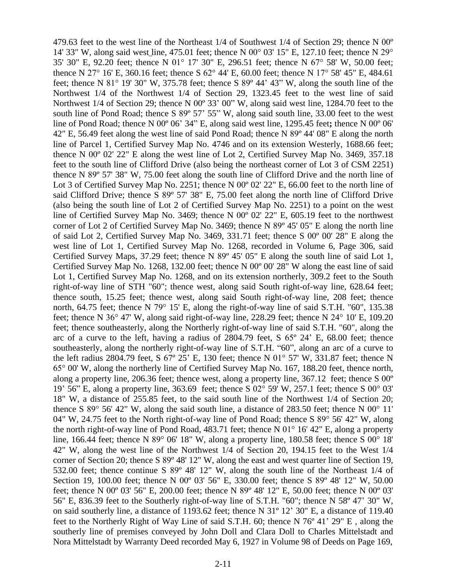479.63 feet to the west line of the Northeast  $1/4$  of Southwest  $1/4$  of Section 29; thence N 00<sup>o</sup> 14' 33" W, along said west line, 475.01 feet; thence N 00° 03' 15" E, 127.10 feet; thence N 29° 35' 30" E, 92.20 feet; thence N 01° 17' 30" E, 296.51 feet; thence N 67° 58' W, 50.00 feet; thence N 27° 16' E, 360.16 feet; thence S 62° 44' E, 60.00 feet; thence N 17° 58' 45" E, 484.61 feet; thence N 81° 19' 30" W, 375.78 feet; thence S 89º 44' 43" W, along the south line of the Northwest 1/4 of the Northwest 1/4 of Section 29, 1323.45 feet to the west line of said Northwest 1/4 of Section 29; thence N 00º 33' 00" W, along said west line, 1284.70 feet to the south line of Pond Road; thence S 89° 57' 55" W, along said south line, 33.00 feet to the west line of Pond Road; thence N 00º 06' 34" E, along said west line, 1295.45 feet**;** thence N 00º 06' 42" E, 56.49 feet along the west line of said Pond Road; thence N 89º 44' 08" E along the north line of Parcel 1, Certified Survey Map No. 4746 and on its extension Westerly, 1688.66 feet; thence N 00º 02' 22" E along the west line of Lot 2, Certified Survey Map No. 3469, 357.18 feet to the south line of Clifford Drive (also being the northeast corner of Lot 3 of CSM 2251) thence N 89º 57' 38" W, 75.00 feet along the south line of Clifford Drive and the north line of Lot 3 of Certified Survey Map No. 2251; thence N 00<sup>o</sup> 02' 22" E, 66.00 feet to the north line of said Clifford Drive; thence S 89º 57' 38" E, 75.00 feet along the north line of Clifford Drive (also being the south line of Lot 2 of Certified Survey Map No. 2251) to a point on the west line of Certified Survey Map No. 3469; thence N 00º 02' 22" E, 605.19 feet to the northwest corner of Lot 2 of Certified Survey Map No. 3469; thence N 89º 45' 05" E along the north line of said Lot 2, Certified Survey Map No. 3469, 331.71 feet; thence S 00º 00' 28" E along the west line of Lot 1, Certified Survey Map No. 1268, recorded in Volume 6, Page 306, said Certified Survey Maps, 37.29 feet; thence N 89º 45' 05" E along the south line of said Lot 1, Certified Survey Map No. 1268, 132.00 feet; thence N 00º 00' 28" W along the east line of said Lot 1, Certified Survey Map No. 1268, and on its extension northerly, 309.2 feet to the South right-of-way line of STH "60"; thence west, along said South right-of-way line, 628.64 feet; thence south, 15.25 feet; thence west, along said South right-of-way line, 208 feet; thence north, 64.75 feet; thence N 79° 15' E, along the right-of-way line of said S.T.H. "60", 135.38 feet; thence N 36° 47' W, along said right-of-way line, 228.29 feet; thence N 24° 10' E, 109.20 feet; thence southeasterly, along the Northerly right-of-way line of said S.T.H. "60", along the arc of a curve to the left, having a radius of 2804.79 feet, S 65º 24' E, 68.00 feet; thence southeasterly, along the northerly right-of-way line of S.T.H. "60", along an arc of a curve to the left radius 2804.79 feet, S  $67^{\circ}$  25' E, 130 feet; thence N  $01^{\circ}$  57' W, 331.87 feet; thence N 65° 00' W, along the northerly line of Certified Survey Map No. 167, 188.20 feet, thence north, along a property line, 206.36 feet; thence west, along a property line, 367.12 feet; thence S 00º 19' 56" E, along a property line, 363.69 feet; thence S 02° 59' W, 257.1 feet; thence S 00° 03' 18" W, a distance of 255.85 feet, to the said south line of the Northwest 1/4 of Section 20; thence S 89° 56' 42" W, along the said south line, a distance of 283.50 feet; thence N 00° 11' 04" W, 24.75 feet to the North right-of-way line of Pond Road; thence S 89° 56' 42" W, along the north right-of-way line of Pond Road, 483.71 feet; thence N 01° 16' 42" E, along a property line, 166.44 feet; thence N 89° 06' 18" W, along a property line, 180.58 feet; thence S 00° 18' 42" W, along the west line of the Northwest 1/4 of Section 20, 194.15 feet to the West 1/4 corner of Section 20; thence S 89º 48' 12" W, along the east and west quarter line of Section 19, 532.00 feet; thence continue S 89º 48' 12" W, along the south line of the Northeast 1/4 of Section 19, 100.00 feet; thence N 00° 03' 56" E, 330.00 feet; thence S 89° 48' 12" W, 50.00 feet; thence N 00º 03' 56" E, 200.00 feet; thence N 89º 48' 12" E, 50.00 feet; thence N 00º 03' 56" E, 836.39 feet to the Southerly right-of-way line of S.T.H. "60"; thence N 58º 47' 30" W, on said southerly line, a distance of 1193.62 feet; thence N 31º 12' 30" E, a distance of 119.40 feet to the Northerly Right of Way Line of said S.T.H. 60; thence N 76º 41' 29" E , along the southerly line of premises conveyed by John Doll and Clara Doll to Charles Mittelstadt and Nora Mittelstadt by Warranty Deed recorded May 6, 1927 in Volume 98 of Deeds on Page 169,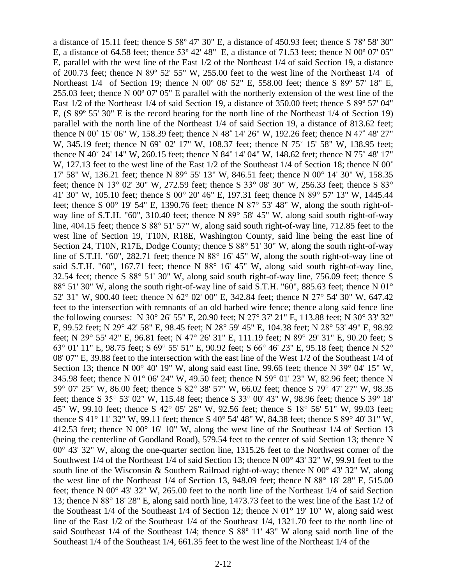a distance of 15.11 feet; thence S 58º 47' 30" E, a distance of 450.93 feet; thence S 78º 58' 30" E, a distance of 64.58 feet; thence 53º 42' 48" E, a distance of 71.53 feet; thence N 00º 07' 05" E, parallel with the west line of the East 1/2 of the Northeast 1/4 of said Section 19, a distance of 200.73 feet; thence N 89º 52' 55" W, 255.00 feet to the west line of the Northeast 1/4 of Northeast 1/4 of Section 19; thence N 00º 06' 52" E, 558.00 feet; thence S 89º 57' 18" E, 255.03 feet; thence N 00º 07' 05" E parallel with the northerly extension of the west line of the East 1/2 of the Northeast 1/4 of said Section 19, a distance of 350.00 feet; thence S 89º 57' 04" E, (S 89º 55' 30" E is the record bearing for the north line of the Northeast 1/4 of Section 19) parallel with the north line of the Northeast 1/4 of said Section 19, a distance of 813.62 feet; thence N 00˚ 15' 06" W, 158.39 feet; thence N 48˚ 14' 26" W, 192.26 feet; thence N 47˚ 48' 27" W, 345.19 feet; thence N 69° 02' 17" W, 108.37 feet; thence N 75° 15' 58" W, 138.95 feet; thence N 40˚ 24' 14" W, 260.15 feet; thence N 84˚ 14' 04" W, 148.62 feet; thence N 75˚ 48' 17" W, 127.13 feet to the west line of the East 1/2 of the Southeast 1/4 of Section 18; thence N 00° 17' 58" W, 136.21 feet; thence N 89° 55' 13" W, 846.51 feet; thence N 00° 14' 30" W, 158.35 feet; thence N 13° 02' 30" W, 272.59 feet; thence S 33° 08' 30" W, 256.33 feet; thence S 83° 41' 30" W, 105.10 feet; thence S 00° 20' 46" E, 197.31 feet; thence N 89° 57' 13" W, 1445.44 feet; thence S  $00^{\circ}$  19' 54" E, 1390.76 feet; thence N  $87^{\circ}$  53' 48" W, along the south right-ofway line of S.T.H. "60", 310.40 feet; thence N 89° 58' 45" W, along said south right-of-way line, 404.15 feet; thence S 88° 51' 57" W, along said south right-of-way line, 712.85 feet to the west line of Section 19, T10N, R18E, Washington County, said line being the east line of Section 24, T10N, R17E, Dodge County; thence S 88° 51' 30" W, along the south right-of-way line of S.T.H. "60", 282.71 feet; thence N 88° 16' 45" W, along the south right-of-way line of said S.T.H. "60", 167.71 feet; thence N 88° 16' 45" W, along said south right-of-way line, 32.54 feet; thence S 88° 51' 30" W, along said south right-of-way line, 756.09 feet; thence S 88° 51' 30" W, along the south right-of-way line of said S.T.H. "60", 885.63 feet; thence N 01° 52' 31" W, 900.40 feet; thence N 62° 02' 00" E, 342.84 feet; thence N 27° 54' 30" W, 647.42 feet to the intersection with remnants of an old barbed wire fence; thence along said fence line the following courses: N 30° 26' 55" E, 20.90 feet; N 27° 37' 21" E, 113.88 feet; N 30° 33' 32" E, 99.52 feet; N 29° 42' 58" E, 98.45 feet; N 28° 59' 45" E, 104.38 feet; N 28° 53' 49" E, 98.92 feet; N 29° 55' 42" E, 96.81 feet; N 47° 26' 31" E, 111.19 feet; N 89° 29' 31" E, 90.20 feet; S 63° 01' 11" E, 98.75 feet; S 69° 55' 51" E, 90.92 feet; S 66° 46' 23" E, 95.18 feet; thence N 52° 08' 07" E, 39.88 feet to the intersection with the east line of the West 1/2 of the Southeast 1/4 of Section 13; thence N 00° 40' 19" W, along said east line, 99.66 feet; thence N 39° 04' 15" W, 345.98 feet; thence N 01° 06' 24" W, 49.50 feet; thence N 59° 01' 23" W, 82.96 feet; thence N 59° 07' 25" W, 86.00 feet; thence S 82° 38' 57" W, 66.02 feet; thence S 79° 47' 27" W, 98.35 feet; thence S 35° 53' 02" W, 115.48 feet; thence S 33° 00' 43" W, 98.96 feet; thence S 39° 18' 45" W, 99.10 feet; thence S 42° 05' 26" W, 92.56 feet; thence S 18° 56' 51" W, 99.03 feet; thence S 41° 11' 32" W, 99.11 feet; thence S 40° 54' 48" W, 84.38 feet; thence S 89° 40' 31" W, 412.53 feet; thence N 00° 16' 10" W, along the west line of the Southeast 1/4 of Section 13 (being the centerline of Goodland Road), 579.54 feet to the center of said Section 13; thence N 00° 43' 32" W, along the one-quarter section line, 1315.26 feet to the Northwest corner of the Southwest 1/4 of the Northeast 1/4 of said Section 13; thence N 00° 43' 32" W, 99.91 feet to the south line of the Wisconsin & Southern Railroad right-of-way; thence N 00° 43' 32" W, along the west line of the Northeast 1/4 of Section 13, 948.09 feet; thence N 88° 18' 28" E, 515.00 feet; thence N 00° 43' 32" W, 265.00 feet to the north line of the Northeast 1/4 of said Section 13; thence N 88° 18' 28" E, along said north line, 1473.73 feet to the west line of the East 1/2 of the Southeast 1/4 of the Southeast 1/4 of Section 12; thence N 01° 19' 10" W, along said west line of the East 1/2 of the Southeast 1/4 of the Southeast 1/4, 1321.70 feet to the north line of said Southeast 1/4 of the Southeast 1/4; thence S 88º 11' 43" W along said north line of the Southeast 1/4 of the Southeast 1/4, 661.35 feet to the west line of the Northeast 1/4 of the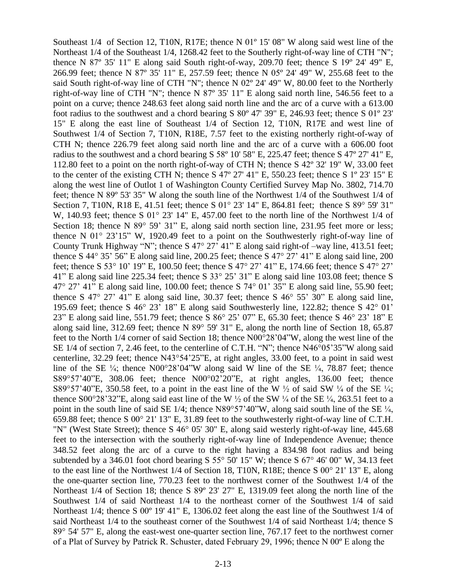Southeast 1/4 of Section 12, T10N, R17E; thence N 01º 15' 08" W along said west line of the Northeast 1/4 of the Southeast 1/4, 1268.42 feet to the Southerly right-of-way line of CTH "N"; thence N 87º 35' 11" E along said South right-of-way, 209.70 feet; thence S 19º 24' 49" E, 266.99 feet; thence N 87º 35' 11" E, 257.59 feet; thence N 05º 24' 49" W, 255.68 feet to the said South right-of-way line of CTH "N"; thence N 02º 24' 49" W, 80.00 feet to the Northerly right-of-way line of CTH "N"; thence N 87º 35' 11" E along said north line, 546.56 feet to a point on a curve; thence 248.63 feet along said north line and the arc of a curve with a 613.00 foot radius to the southwest and a chord bearing S 80º 47' 39" E, 246.93 feet; thence S 01º 23' 15" E along the east line of Southeast 1/4 of Section 12, T10N, R17E and west line of Southwest 1/4 of Section 7, T10N, R18E, 7.57 feet to the existing northerly right-of-way of CTH N; thence 226.79 feet along said north line and the arc of a curve with a 606.00 foot radius to the southwest and a chord bearing S 58º 10' 58" E, 225.47 feet; thence S 47º 27' 41" E, 112.80 feet to a point on the north right-of-way of CTH N; thence S 42º 32' 19" W, 33.00 feet to the center of the existing CTH N; thence S 47º 27' 41" E, 550.23 feet; thence S 1º 23' 15" E along the west line of Outlot 1 of Washington County Certified Survey Map No. 3802, 714.70 feet; thence N 89º 53' 35" W along the south line of the Northwest 1/4 of the Southwest 1/4 of Section 7, T10N, R18 E, 41.51 feet; thence S 01° 23' 14" E, 864.81 feet; thence S 89° 59' 31" W, 140.93 feet; thence S 01° 23' 14" E, 457.00 feet to the north line of the Northwest 1/4 of Section 18; thence N 89° 59' 31" E, along said north section line, 231.95 feet more or less; thence N 01° 23'15" W, 1920.49 feet to a point on the Southwesterly right-of-way line of County Trunk Highway "N"; thence S 47° 27<sup>3</sup> 41" E along said right-of –way line, 413.51 feet; thence S 44° 35' 56" E along said line, 200.25 feet; thence S 47° 27' 41" E along said line, 200 feet; thence S 53° 10' 19" E, 100.50 feet; thence S 47° 27' 41" E, 174.66 feet; thence S 47° 27' 41" E along said line 225.34 feet; thence S 33° 25' 31" E along said line 103.08 feet; thence S 47° 27' 41" E along said line, 100.00 feet; thence S 74° 01' 35" E along said line, 55.90 feet; thence S 47° 27' 41" E along said line, 30.37 feet; thence S  $46^{\circ}$  55' 30" E along said line, 195.69 feet; thence S 46° 23' 18" E along said Southwesterly line, 122.82; thence S 42° 01' 23" E along said line, 551.79 feet; thence S 86° 25' 07" E, 65.30 feet; thence S 46° 23' 18" E along said line, 312.69 feet; thence N 89° 59' 31" E, along the north line of Section 18, 65.87 feet to the North 1/4 corner of said Section 18; thence N00°28'04"W, along the west line of the SE 1/4 of section 7, 2.46 feet, to the centerline of C.T.H. "N"; thence N46°05'35"W along said centerline, 32.29 feet; thence N43°54'25"E, at right angles, 33.00 feet, to a point in said west line of the SE  $\frac{1}{4}$ ; thence N00°28'04"W along said W line of the SE  $\frac{1}{4}$ , 78.87 feet; thence S89°57'40"E, 308.06 feet; thence N00°02'20"E, at right angles, 136.00 feet; thence S89°57'40"E, 350.58 feet, to a point in the east line of the W  $\frac{1}{2}$  of said SW  $\frac{1}{4}$  of the SE  $\frac{1}{4}$ ; thence S00°28'32"E, along said east line of the W  $\frac{1}{2}$  of the SW  $\frac{1}{4}$  of the SE  $\frac{1}{4}$ , 263.51 feet to a point in the south line of said SE 1/4; thence N89°57'40"W, along said south line of the SE ¼, 659.88 feet; thence S 00° 21' 13" E, 31.89 feet to the southwesterly right-of-way line of C.T.H. "N" (West State Street); thence S 46° 05' 30" E, along said westerly right-of-way line, 445.68 feet to the intersection with the southerly right-of-way line of Independence Avenue; thence 348.52 feet along the arc of a curve to the right having a 834.98 foot radius and being subtended by a 346.01 foot chord bearing S 55 $\degree$  50' 15" W; thence S 67 $\degree$  46' 00" W, 34.13 feet to the east line of the Northwest 1/4 of Section 18, T10N, R18E; thence S 00° 21' 13" E, along the one-quarter section line, 770.23 feet to the northwest corner of the Southwest 1/4 of the Northeast 1/4 of Section 18; thence S 89º 23' 27" E, 1319.09 feet along the north line of the Southwest  $1/4$  of said Northeast  $1/4$  to the northeast corner of the Southwest  $1/4$  of said Northeast 1/4; thence S 00º 19' 41" E, 1306.02 feet along the east line of the Southwest 1/4 of said Northeast 1/4 to the southeast corner of the Southwest 1/4 of said Northeast 1/4; thence S 89° 54' 57" E, along the east-west one-quarter section line, 767.17 feet to the northwest corner of a Plat of Survey by Patrick R. Schuster, dated February 29, 1996; thence N 00º E along the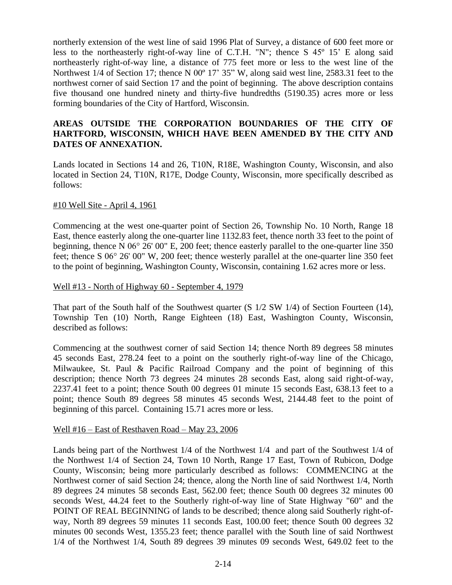northerly extension of the west line of said 1996 Plat of Survey, a distance of 600 feet more or less to the northeasterly right-of-way line of C.T.H. "N"; thence S 45º 15' E along said northeasterly right-of-way line, a distance of 775 feet more or less to the west line of the Northwest 1/4 of Section 17; thence N 00<sup>o</sup> 17' 35" W, along said west line, 2583.31 feet to the northwest corner of said Section 17 and the point of beginning. The above description contains five thousand one hundred ninety and thirty-five hundredths (5190.35) acres more or less forming boundaries of the City of Hartford, Wisconsin.

### **AREAS OUTSIDE THE CORPORATION BOUNDARIES OF THE CITY OF HARTFORD, WISCONSIN, WHICH HAVE BEEN AMENDED BY THE CITY AND DATES OF ANNEXATION.**

Lands located in Sections 14 and 26, T10N, R18E, Washington County, Wisconsin, and also located in Section 24, T10N, R17E, Dodge County, Wisconsin, more specifically described as follows:

### #10 Well Site - April 4, 1961

Commencing at the west one-quarter point of Section 26, Township No. 10 North, Range 18 East, thence easterly along the one-quarter line 1132.83 feet, thence north 33 feet to the point of beginning, thence N 06° 26' 00" E, 200 feet; thence easterly parallel to the one-quarter line 350 feet; thence S 06° 26' 00" W, 200 feet; thence westerly parallel at the one-quarter line 350 feet to the point of beginning, Washington County, Wisconsin, containing 1.62 acres more or less.

### Well #13 - North of Highway 60 - September 4, 1979

That part of the South half of the Southwest quarter (S 1/2 SW 1/4) of Section Fourteen (14), Township Ten (10) North, Range Eighteen (18) East, Washington County, Wisconsin, described as follows:

Commencing at the southwest corner of said Section 14; thence North 89 degrees 58 minutes 45 seconds East, 278.24 feet to a point on the southerly right-of-way line of the Chicago, Milwaukee, St. Paul & Pacific Railroad Company and the point of beginning of this description; thence North 73 degrees 24 minutes 28 seconds East, along said right-of-way, 2237.41 feet to a point; thence South 00 degrees 01 minute 15 seconds East, 638.13 feet to a point; thence South 89 degrees 58 minutes 45 seconds West, 2144.48 feet to the point of beginning of this parcel. Containing 15.71 acres more or less.

#### Well #16 – East of Resthaven Road – May 23, 2006

Lands being part of the Northwest 1/4 of the Northwest 1/4 and part of the Southwest 1/4 of the Northwest 1/4 of Section 24, Town 10 North, Range 17 East, Town of Rubicon, Dodge County, Wisconsin; being more particularly described as follows: COMMENCING at the Northwest corner of said Section 24; thence, along the North line of said Northwest 1/4, North 89 degrees 24 minutes 58 seconds East, 562.00 feet; thence South 00 degrees 32 minutes 00 seconds West, 44.24 feet to the Southerly right-of-way line of State Highway "60" and the POINT OF REAL BEGINNING of lands to be described; thence along said Southerly right-ofway, North 89 degrees 59 minutes 11 seconds East, 100.00 feet; thence South 00 degrees 32 minutes 00 seconds West, 1355.23 feet; thence parallel with the South line of said Northwest 1/4 of the Northwest 1/4, South 89 degrees 39 minutes 09 seconds West, 649.02 feet to the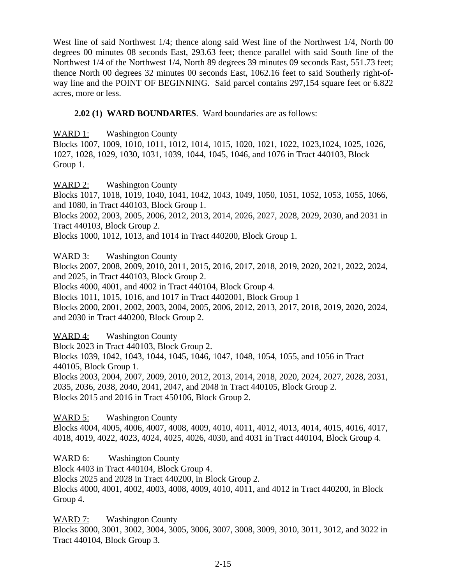West line of said Northwest 1/4; thence along said West line of the Northwest 1/4, North 00 degrees 00 minutes 08 seconds East, 293.63 feet; thence parallel with said South line of the Northwest 1/4 of the Northwest 1/4, North 89 degrees 39 minutes 09 seconds East, 551.73 feet; thence North 00 degrees 32 minutes 00 seconds East, 1062.16 feet to said Southerly right-ofway line and the POINT OF BEGINNING. Said parcel contains 297,154 square feet or 6.822 acres, more or less.

## **2.02 (1) WARD BOUNDARIES**. Ward boundaries are as follows:

WARD 1: Washington County

Blocks 1007, 1009, 1010, 1011, 1012, 1014, 1015, 1020, 1021, 1022, 1023,1024, 1025, 1026, 1027, 1028, 1029, 1030, 1031, 1039, 1044, 1045, 1046, and 1076 in Tract 440103, Block Group 1.

WARD 2: Washington County

Blocks 1017, 1018, 1019, 1040, 1041, 1042, 1043, 1049, 1050, 1051, 1052, 1053, 1055, 1066, and 1080, in Tract 440103, Block Group 1.

Blocks 2002, 2003, 2005, 2006, 2012, 2013, 2014, 2026, 2027, 2028, 2029, 2030, and 2031 in Tract 440103, Block Group 2.

Blocks 1000, 1012, 1013, and 1014 in Tract 440200, Block Group 1.

# WARD 3: Washington County

Blocks 2007, 2008, 2009, 2010, 2011, 2015, 2016, 2017, 2018, 2019, 2020, 2021, 2022, 2024, and 2025, in Tract 440103, Block Group 2.

Blocks 4000, 4001, and 4002 in Tract 440104, Block Group 4.

Blocks 1011, 1015, 1016, and 1017 in Tract 4402001, Block Group 1

Blocks 2000, 2001, 2002, 2003, 2004, 2005, 2006, 2012, 2013, 2017, 2018, 2019, 2020, 2024, and 2030 in Tract 440200, Block Group 2.

## WARD 4: Washington County

Block 2023 in Tract 440103, Block Group 2.

Blocks 1039, 1042, 1043, 1044, 1045, 1046, 1047, 1048, 1054, 1055, and 1056 in Tract 440105, Block Group 1.

Blocks 2003, 2004, 2007, 2009, 2010, 2012, 2013, 2014, 2018, 2020, 2024, 2027, 2028, 2031, 2035, 2036, 2038, 2040, 2041, 2047, and 2048 in Tract 440105, Block Group 2. Blocks 2015 and 2016 in Tract 450106, Block Group 2.

## WARD 5: Washington County

Blocks 4004, 4005, 4006, 4007, 4008, 4009, 4010, 4011, 4012, 4013, 4014, 4015, 4016, 4017, 4018, 4019, 4022, 4023, 4024, 4025, 4026, 4030, and 4031 in Tract 440104, Block Group 4.

WARD 6: Washington County

Block 4403 in Tract 440104, Block Group 4. Blocks 2025 and 2028 in Tract 440200, in Block Group 2. Blocks 4000, 4001, 4002, 4003, 4008, 4009, 4010, 4011, and 4012 in Tract 440200, in Block Group 4.

WARD 7: Washington County

Blocks 3000, 3001, 3002, 3004, 3005, 3006, 3007, 3008, 3009, 3010, 3011, 3012, and 3022 in Tract 440104, Block Group 3.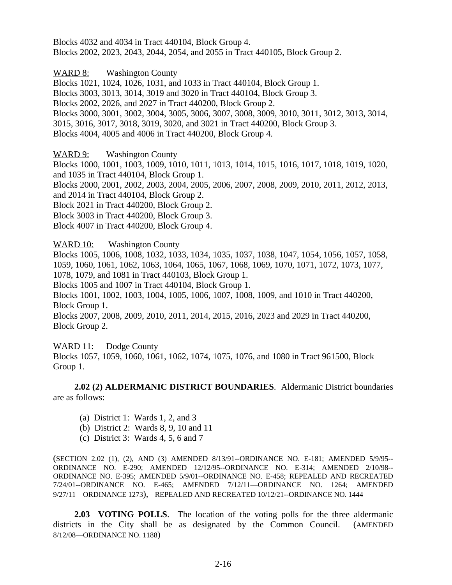Blocks 4032 and 4034 in Tract 440104, Block Group 4. Blocks 2002, 2023, 2043, 2044, 2054, and 2055 in Tract 440105, Block Group 2.

WARD 8: Washington County Blocks 1021, 1024, 1026, 1031, and 1033 in Tract 440104, Block Group 1. Blocks 3003, 3013, 3014, 3019 and 3020 in Tract 440104, Block Group 3. Blocks 2002, 2026, and 2027 in Tract 440200, Block Group 2. Blocks 3000, 3001, 3002, 3004, 3005, 3006, 3007, 3008, 3009, 3010, 3011, 3012, 3013, 3014, 3015, 3016, 3017, 3018, 3019, 3020, and 3021 in Tract 440200, Block Group 3. Blocks 4004, 4005 and 4006 in Tract 440200, Block Group 4.

WARD 9: Washington County

Blocks 1000, 1001, 1003, 1009, 1010, 1011, 1013, 1014, 1015, 1016, 1017, 1018, 1019, 1020, and 1035 in Tract 440104, Block Group 1.

Blocks 2000, 2001, 2002, 2003, 2004, 2005, 2006, 2007, 2008, 2009, 2010, 2011, 2012, 2013, and 2014 in Tract 440104, Block Group 2.

Block 2021 in Tract 440200, Block Group 2.

Block 3003 in Tract 440200, Block Group 3.

Block 4007 in Tract 440200, Block Group 4.

WARD 10: Washington County

Blocks 1005, 1006, 1008, 1032, 1033, 1034, 1035, 1037, 1038, 1047, 1054, 1056, 1057, 1058, 1059, 1060, 1061, 1062, 1063, 1064, 1065, 1067, 1068, 1069, 1070, 1071, 1072, 1073, 1077, 1078, 1079, and 1081 in Tract 440103, Block Group 1.

Blocks 1005 and 1007 in Tract 440104, Block Group 1.

Blocks 1001, 1002, 1003, 1004, 1005, 1006, 1007, 1008, 1009, and 1010 in Tract 440200, Block Group 1.

Blocks 2007, 2008, 2009, 2010, 2011, 2014, 2015, 2016, 2023 and 2029 in Tract 440200, Block Group 2.

WARD 11: Dodge County

Blocks 1057, 1059, 1060, 1061, 1062, 1074, 1075, 1076, and 1080 in Tract 961500, Block Group 1.

**2.02 (2) ALDERMANIC DISTRICT BOUNDARIES**. Aldermanic District boundaries are as follows:

- (a) District 1: Wards 1, 2, and 3
- (b) District 2: Wards 8, 9, 10 and 11
- (c) District 3: Wards 4, 5, 6 and 7

(SECTION 2.02 (1), (2), AND (3) AMENDED 8/13/91--ORDINANCE NO. E-181; AMENDED 5/9/95-- ORDINANCE NO. E-290; AMENDED 12/12/95--ORDINANCE NO. E-314; AMENDED 2/10/98-- ORDINANCE NO. E-395; AMENDED 5/9/01--ORDINANCE NO. E-458; REPEALED AND RECREATED 7/24/01--ORDINANCE NO. E-465; AMENDED 7/12/11—ORDINANCE NO. 1264; AMENDED 9/27/11—ORDINANCE 1273), REPEALED AND RECREATED 10/12/21--ORDINANCE NO. 1444

**2.03 VOTING POLLS**. The location of the voting polls for the three aldermanic districts in the City shall be as designated by the Common Council. (AMENDED 8/12/08—ORDINANCE NO. 1188)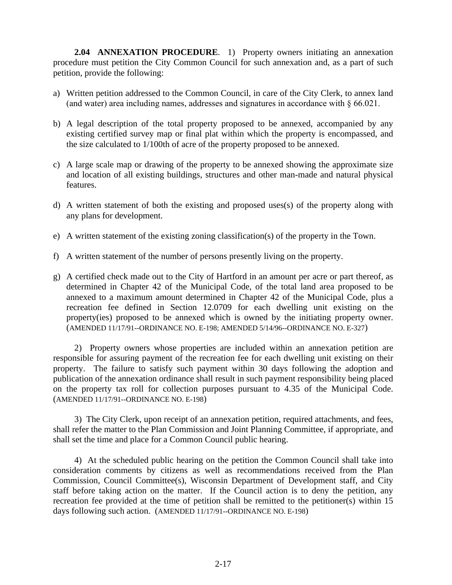**2.04 ANNEXATION PROCEDURE**. 1) Property owners initiating an annexation procedure must petition the City Common Council for such annexation and, as a part of such petition, provide the following:

- a) Written petition addressed to the Common Council, in care of the City Clerk, to annex land (and water) area including names, addresses and signatures in accordance with  $\S 66.021$ .
- b) A legal description of the total property proposed to be annexed, accompanied by any existing certified survey map or final plat within which the property is encompassed, and the size calculated to 1/100th of acre of the property proposed to be annexed.
- c) A large scale map or drawing of the property to be annexed showing the approximate size and location of all existing buildings, structures and other man-made and natural physical features.
- d) A written statement of both the existing and proposed uses(s) of the property along with any plans for development.
- e) A written statement of the existing zoning classification(s) of the property in the Town.
- f) A written statement of the number of persons presently living on the property.
- g) A certified check made out to the City of Hartford in an amount per acre or part thereof, as determined in Chapter 42 of the Municipal Code, of the total land area proposed to be annexed to a maximum amount determined in Chapter 42 of the Municipal Code, plus a recreation fee defined in Section 12.0709 for each dwelling unit existing on the property(ies) proposed to be annexed which is owned by the initiating property owner. (AMENDED 11/17/91--ORDINANCE NO. E-198; AMENDED 5/14/96--ORDINANCE NO. E-327)

2) Property owners whose properties are included within an annexation petition are responsible for assuring payment of the recreation fee for each dwelling unit existing on their property. The failure to satisfy such payment within 30 days following the adoption and publication of the annexation ordinance shall result in such payment responsibility being placed on the property tax roll for collection purposes pursuant to 4.35 of the Municipal Code. (AMENDED 11/17/91--ORDINANCE NO. E-198)

3) The City Clerk, upon receipt of an annexation petition, required attachments, and fees, shall refer the matter to the Plan Commission and Joint Planning Committee, if appropriate, and shall set the time and place for a Common Council public hearing.

4) At the scheduled public hearing on the petition the Common Council shall take into consideration comments by citizens as well as recommendations received from the Plan Commission, Council Committee(s), Wisconsin Department of Development staff, and City staff before taking action on the matter. If the Council action is to deny the petition, any recreation fee provided at the time of petition shall be remitted to the petitioner(s) within 15 days following such action. (AMENDED 11/17/91--ORDINANCE NO. E-198)